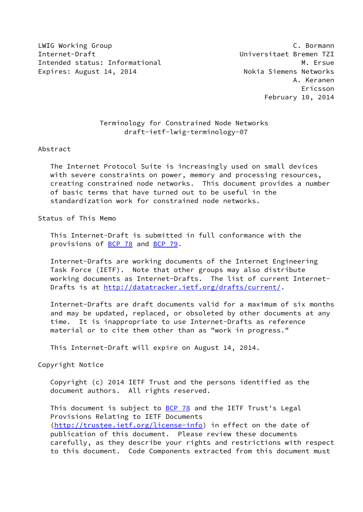LWIG Working Group C. Bormann Internet-Draft Universitaet Bremen TZI Intended status: Informational M. Ersue Expires: August 14, 2014 **Nokia Siemens Networks** 

 A. Keranen Ericsson February 10, 2014

# Terminology for Constrained Node Networks draft-ietf-lwig-terminology-07

#### Abstract

 The Internet Protocol Suite is increasingly used on small devices with severe constraints on power, memory and processing resources, creating constrained node networks. This document provides a number of basic terms that have turned out to be useful in the standardization work for constrained node networks.

### Status of This Memo

 This Internet-Draft is submitted in full conformance with the provisions of **BCP 78** and **BCP 79**.

 Internet-Drafts are working documents of the Internet Engineering Task Force (IETF). Note that other groups may also distribute working documents as Internet-Drafts. The list of current Internet Drafts is at<http://datatracker.ietf.org/drafts/current/>.

 Internet-Drafts are draft documents valid for a maximum of six months and may be updated, replaced, or obsoleted by other documents at any time. It is inappropriate to use Internet-Drafts as reference material or to cite them other than as "work in progress."

This Internet-Draft will expire on August 14, 2014.

Copyright Notice

 Copyright (c) 2014 IETF Trust and the persons identified as the document authors. All rights reserved.

This document is subject to **[BCP 78](https://datatracker.ietf.org/doc/pdf/bcp78)** and the IETF Trust's Legal Provisions Relating to IETF Documents [\(http://trustee.ietf.org/license-info](http://trustee.ietf.org/license-info)) in effect on the date of publication of this document. Please review these documents carefully, as they describe your rights and restrictions with respect to this document. Code Components extracted from this document must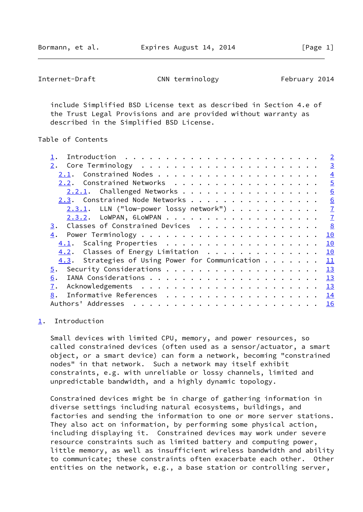Bormann, et al. **Expires August 14, 2014** [Page 1]

<span id="page-1-1"></span>Internet-Draft CNN terminology February 2014

 include Simplified BSD License text as described in Section 4.e of the Trust Legal Provisions and are provided without warranty as described in the Simplified BSD License.

## Table of Contents

|                                                     | $\overline{2}$ |
|-----------------------------------------------------|----------------|
|                                                     | $\overline{3}$ |
|                                                     | $\overline{4}$ |
| Constrained Networks<br>2.2.                        | $\overline{5}$ |
| 2.2.1. Challenged Networks                          | 6              |
| 2.3. Constrained Node Networks                      | 6              |
| $2.3.1$ . LLN ("low-power lossy network")           | $\overline{1}$ |
|                                                     | $\frac{7}{2}$  |
| Classes of Constrained Devices<br>3.                | 8              |
| 4.                                                  | 10             |
|                                                     | 10             |
| 4.2. Classes of Energy Limitation                   | 10             |
| $4.3$ . Strategies of Using Power for Communication | 11             |
|                                                     | 13             |
| 6.                                                  | 13             |
| 7.                                                  | 13             |
| 8.                                                  | 14             |
| Authors' Addresses                                  | 16             |
|                                                     |                |

### <span id="page-1-0"></span>[1](#page-1-0). Introduction

 Small devices with limited CPU, memory, and power resources, so called constrained devices (often used as a sensor/actuator, a smart object, or a smart device) can form a network, becoming "constrained nodes" in that network. Such a network may itself exhibit constraints, e.g. with unreliable or lossy channels, limited and unpredictable bandwidth, and a highly dynamic topology.

 Constrained devices might be in charge of gathering information in diverse settings including natural ecosystems, buildings, and factories and sending the information to one or more server stations. They also act on information, by performing some physical action, including displaying it. Constrained devices may work under severe resource constraints such as limited battery and computing power, little memory, as well as insufficient wireless bandwidth and ability to communicate; these constraints often exacerbate each other. Other entities on the network, e.g., a base station or controlling server,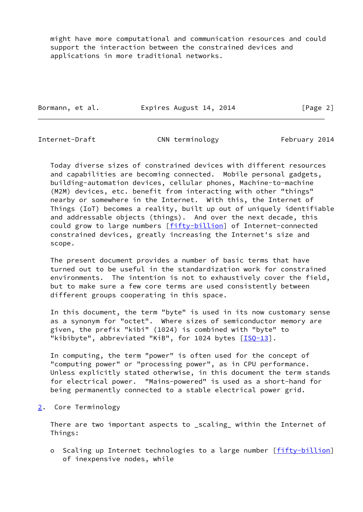might have more computational and communication resources and could support the interaction between the constrained devices and applications in more traditional networks.

Bormann, et al. Expires August 14, 2014 [Page 2]

<span id="page-2-1"></span>

Internet-Draft CNN terminology February 2014

 Today diverse sizes of constrained devices with different resources and capabilities are becoming connected. Mobile personal gadgets, building-automation devices, cellular phones, Machine-to-machine (M2M) devices, etc. benefit from interacting with other "things" nearby or somewhere in the Internet. With this, the Internet of Things (IoT) becomes a reality, built up out of uniquely identifiable and addressable objects (things). And over the next decade, this could grow to large numbers [\[fifty-billion](#page-17-1)] of Internet-connected constrained devices, greatly increasing the Internet's size and scope.

 The present document provides a number of basic terms that have turned out to be useful in the standardization work for constrained environments. The intention is not to exhaustively cover the field, but to make sure a few core terms are used consistently between different groups cooperating in this space.

 In this document, the term "byte" is used in its now customary sense as a synonym for "octet". Where sizes of semiconductor memory are given, the prefix "kibi" (1024) is combined with "byte" to "kibibyte", abbreviated "KiB", for 1024 bytes [[ISQ-13](#page-16-0)].

 In computing, the term "power" is often used for the concept of "computing power" or "processing power", as in CPU performance. Unless explicitly stated otherwise, in this document the term stands for electrical power. "Mains-powered" is used as a short-hand for being permanently connected to a stable electrical power grid.

<span id="page-2-0"></span>[2](#page-2-0). Core Terminology

 There are two important aspects to \_scaling\_ within the Internet of Things:

o Scaling up Internet technologies to a large number [[fifty-billion\]](#page-17-1) of inexpensive nodes, while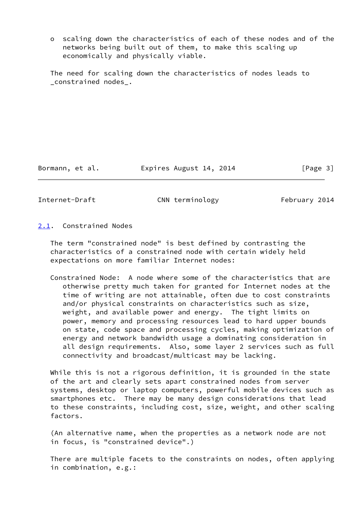o scaling down the characteristics of each of these nodes and of the networks being built out of them, to make this scaling up economically and physically viable.

 The need for scaling down the characteristics of nodes leads to \_constrained nodes\_.

Bormann, et al. Expires August 14, 2014 [Page 3]

<span id="page-3-1"></span>Internet-Draft CNN terminology February 2014

<span id="page-3-0"></span>[2.1](#page-3-0). Constrained Nodes

 The term "constrained node" is best defined by contrasting the characteristics of a constrained node with certain widely held expectations on more familiar Internet nodes:

 Constrained Node: A node where some of the characteristics that are otherwise pretty much taken for granted for Internet nodes at the time of writing are not attainable, often due to cost constraints and/or physical constraints on characteristics such as size, weight, and available power and energy. The tight limits on power, memory and processing resources lead to hard upper bounds on state, code space and processing cycles, making optimization of energy and network bandwidth usage a dominating consideration in all design requirements. Also, some layer 2 services such as full connectivity and broadcast/multicast may be lacking.

 While this is not a rigorous definition, it is grounded in the state of the art and clearly sets apart constrained nodes from server systems, desktop or laptop computers, powerful mobile devices such as smartphones etc. There may be many design considerations that lead to these constraints, including cost, size, weight, and other scaling factors.

 (An alternative name, when the properties as a network node are not in focus, is "constrained device".)

 There are multiple facets to the constraints on nodes, often applying in combination, e.g.: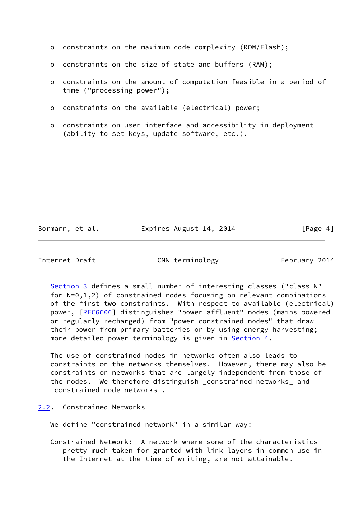|  |  |  |  |  |  |  |  |  | o constraints on the maximum code complexity (ROM/Flash); |  |
|--|--|--|--|--|--|--|--|--|-----------------------------------------------------------|--|
|--|--|--|--|--|--|--|--|--|-----------------------------------------------------------|--|

- o constraints on the size of state and buffers (RAM);
- o constraints on the amount of computation feasible in a period of time ("processing power");
- o constraints on the available (electrical) power;
- o constraints on user interface and accessibility in deployment (ability to set keys, update software, etc.).

Bormann, et al. Expires August 14, 2014 [Page 4]

<span id="page-4-1"></span>Internet-Draft CNN terminology February 2014

 [Section 3](#page-8-0) defines a small number of interesting classes ("class-N" for N=0,1,2) of constrained nodes focusing on relevant combinations of the first two constraints. With respect to available (electrical) power, [\[RFC6606](https://datatracker.ietf.org/doc/pdf/rfc6606)] distinguishes "power-affluent" nodes (mains-powered or regularly recharged) from "power-constrained nodes" that draw their power from primary batteries or by using energy harvesting; more detailed power terminology is given in [Section 4.](#page-10-0)

 The use of constrained nodes in networks often also leads to constraints on the networks themselves. However, there may also be constraints on networks that are largely independent from those of the nodes. We therefore distinguish \_constrained networks\_ and \_constrained node networks\_.

<span id="page-4-0"></span>[2.2](#page-4-0). Constrained Networks

We define "constrained network" in a similar way:

 Constrained Network: A network where some of the characteristics pretty much taken for granted with link layers in common use in the Internet at the time of writing, are not attainable.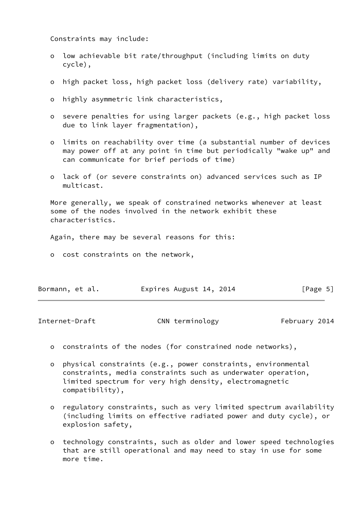Constraints may include:

- o low achievable bit rate/throughput (including limits on duty cycle),
- o high packet loss, high packet loss (delivery rate) variability,
- o highly asymmetric link characteristics,
- o severe penalties for using larger packets (e.g., high packet loss due to link layer fragmentation),
- o limits on reachability over time (a substantial number of devices may power off at any point in time but periodically "wake up" and can communicate for brief periods of time)
- o lack of (or severe constraints on) advanced services such as IP multicast.

 More generally, we speak of constrained networks whenever at least some of the nodes involved in the network exhibit these characteristics.

Again, there may be several reasons for this:

o cost constraints on the network,

| Bormann, et al. | Expires August 14, 2014 | [Page 5] |
|-----------------|-------------------------|----------|
|-----------------|-------------------------|----------|

<span id="page-5-0"></span>Internet-Draft CNN terminology February 2014

- o constraints of the nodes (for constrained node networks),
- o physical constraints (e.g., power constraints, environmental constraints, media constraints such as underwater operation, limited spectrum for very high density, electromagnetic compatibility),
- o regulatory constraints, such as very limited spectrum availability (including limits on effective radiated power and duty cycle), or explosion safety,
- o technology constraints, such as older and lower speed technologies that are still operational and may need to stay in use for some more time.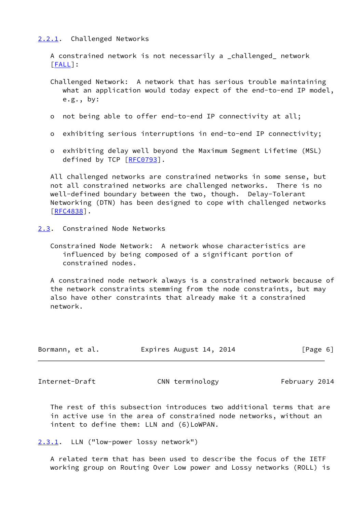## <span id="page-6-0"></span>[2.2.1](#page-6-0). Challenged Networks

 A constrained network is not necessarily a \_challenged\_ network [\[FALL](#page-14-4)]:

- Challenged Network: A network that has serious trouble maintaining what an application would today expect of the end-to-end IP model, e.g., by:
- o not being able to offer end-to-end IP connectivity at all;
- o exhibiting serious interruptions in end-to-end IP connectivity;
- o exhibiting delay well beyond the Maximum Segment Lifetime (MSL) defined by TCP [[RFC0793](https://datatracker.ietf.org/doc/pdf/rfc0793)].

 All challenged networks are constrained networks in some sense, but not all constrained networks are challenged networks. There is no well-defined boundary between the two, though. Delay-Tolerant Networking (DTN) has been designed to cope with challenged networks [\[RFC4838](https://datatracker.ietf.org/doc/pdf/rfc4838)].

- <span id="page-6-1"></span>[2.3](#page-6-1). Constrained Node Networks
	- Constrained Node Network: A network whose characteristics are influenced by being composed of a significant portion of constrained nodes.

 A constrained node network always is a constrained network because of the network constraints stemming from the node constraints, but may also have other constraints that already make it a constrained network.

| Bormann, et al. | Expires August 14, 2014 | [Page 6] |
|-----------------|-------------------------|----------|
|-----------------|-------------------------|----------|

<span id="page-6-3"></span>Internet-Draft CNN terminology February 2014

 The rest of this subsection introduces two additional terms that are in active use in the area of constrained node networks, without an intent to define them: LLN and (6)LoWPAN.

```
2.3.1. LLN ("low-power lossy network")
```
 A related term that has been used to describe the focus of the IETF working group on Routing Over Low power and Lossy networks (ROLL) is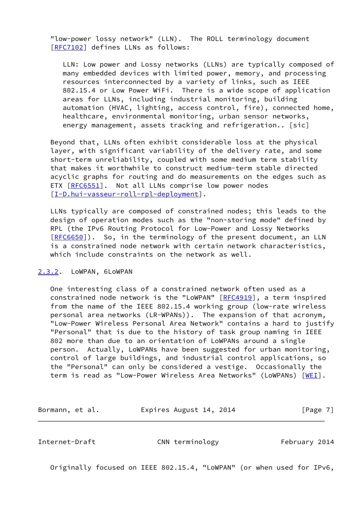"low-power lossy network" (LLN). The ROLL terminology document [\[RFC7102](https://datatracker.ietf.org/doc/pdf/rfc7102)] defines LLNs as follows:

 LLN: Low power and Lossy networks (LLNs) are typically composed of many embedded devices with limited power, memory, and processing resources interconnected by a variety of links, such as IEEE 802.15.4 or Low Power WiFi. There is a wide scope of application areas for LLNs, including industrial monitoring, building automation (HVAC, lighting, access control, fire), connected home, healthcare, environmental monitoring, urban sensor networks, energy management, assets tracking and refrigeration.. [sic]

 Beyond that, LLNs often exhibit considerable loss at the physical layer, with significant variability of the delivery rate, and some short-term unreliability, coupled with some medium term stability that makes it worthwhile to construct medium-term stable directed acyclic graphs for routing and do measurements on the edges such as ETX [\[RFC6551](https://datatracker.ietf.org/doc/pdf/rfc6551)]. Not all LLNs comprise low power nodes [\[I-D.hui-vasseur-roll-rpl-deployment](#page-15-0)].

 LLNs typically are composed of constrained nodes; this leads to the design of operation modes such as the "non-storing mode" defined by RPL (the IPv6 Routing Protocol for Low-Power and Lossy Networks [\[RFC6650](https://datatracker.ietf.org/doc/pdf/rfc6650)]). So, in the terminology of the present document, an LLN is a constrained node network with certain network characteristics, which include constraints on the network as well.

### <span id="page-7-0"></span>[2.3.2](#page-7-0). LoWPAN, 6LoWPAN

 One interesting class of a constrained network often used as a constrained node network is the "LoWPAN" [\[RFC4919](https://datatracker.ietf.org/doc/pdf/rfc4919)], a term inspired from the name of the IEEE 802.15.4 working group (low-rate wireless personal area networks (LR-WPANs)). The expansion of that acronym, "Low-Power Wireless Personal Area Network" contains a hard to justify "Personal" that is due to the history of task group naming in IEEE 802 more than due to an orientation of LoWPANs around a single person. Actually, LoWPANs have been suggested for urban monitoring, control of large buildings, and industrial control applications, so the "Personal" can only be considered a vestige. Occasionally the term is read as "Low-Power Wireless Area Networks" (LoWPANs) [\[WEI](#page-16-1)].

Bormann, et al. **Expires August 14, 2014** [Page 7]

<span id="page-7-1"></span>Internet-Draft CNN terminology February 2014

Originally focused on IEEE 802.15.4, "LoWPAN" (or when used for IPv6,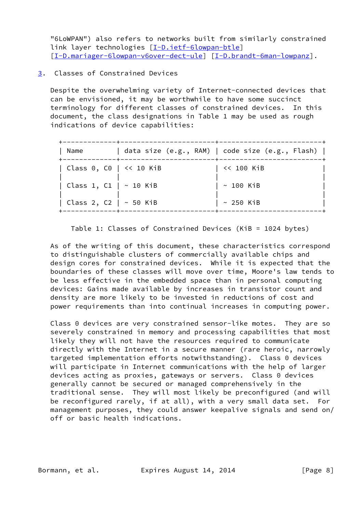"6LoWPAN") also refers to networks built from similarly constrained link layer technologies [\[I-D.ietf-6lowpan-btle](#page-15-1)] [\[I-D.mariager-6lowpan-v6over-dect-ule](#page-16-2)] [\[I-D.brandt-6man-lowpanz](#page-14-5)].

<span id="page-8-0"></span>[3](#page-8-0). Classes of Constrained Devices

 Despite the overwhelming variety of Internet-connected devices that can be envisioned, it may be worthwhile to have some succinct terminology for different classes of constrained devices. In this document, the class designations in Table 1 may be used as rough indications of device capabilities:

| Name                      | data size $(e.g., RAM)$   code size $(e.g., Flash)$ |
|---------------------------|-----------------------------------------------------|
| Class 0, C0   $<< 10$ KiB | << 100 KiB                                          |
| Class 1, C1   ~ 10 KiB    | $\sim$ 100 KiB                                      |
| Class 2, C2   ~ 50 KiB    | $\sim$ 250 KiB                                      |

Table 1: Classes of Constrained Devices (KiB = 1024 bytes)

 As of the writing of this document, these characteristics correspond to distinguishable clusters of commercially available chips and design cores for constrained devices. While it is expected that the boundaries of these classes will move over time, Moore's law tends to be less effective in the embedded space than in personal computing devices: Gains made available by increases in transistor count and density are more likely to be invested in reductions of cost and power requirements than into continual increases in computing power.

 Class 0 devices are very constrained sensor-like motes. They are so severely constrained in memory and processing capabilities that most likely they will not have the resources required to communicate directly with the Internet in a secure manner (rare heroic, narrowly targeted implementation efforts notwithstanding). Class 0 devices will participate in Internet communications with the help of larger devices acting as proxies, gateways or servers. Class 0 devices generally cannot be secured or managed comprehensively in the traditional sense. They will most likely be preconfigured (and will be reconfigured rarely, if at all), with a very small data set. For management purposes, they could answer keepalive signals and send on/ off or basic health indications.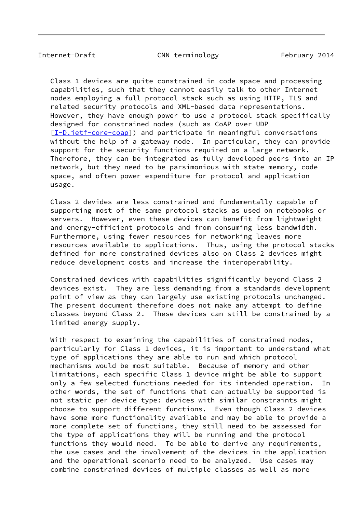Internet-Draft CNN terminology February 2014

 Class 1 devices are quite constrained in code space and processing capabilities, such that they cannot easily talk to other Internet nodes employing a full protocol stack such as using HTTP, TLS and related security protocols and XML-based data representations. However, they have enough power to use a protocol stack specifically designed for constrained nodes (such as CoAP over UDP [\[I-D.ietf-core-coap\]](#page-15-2)) and participate in meaningful conversations without the help of a gateway node. In particular, they can provide support for the security functions required on a large network. Therefore, they can be integrated as fully developed peers into an IP network, but they need to be parsimonious with state memory, code space, and often power expenditure for protocol and application usage.

 Class 2 devides are less constrained and fundamentally capable of supporting most of the same protocol stacks as used on notebooks or servers. However, even these devices can benefit from lightweight and energy-efficient protocols and from consuming less bandwidth. Furthermore, using fewer resources for networking leaves more resources available to applications. Thus, using the protocol stacks defined for more constrained devices also on Class 2 devices might reduce development costs and increase the interoperability.

 Constrained devices with capabilities significantly beyond Class 2 devices exist. They are less demanding from a standards development point of view as they can largely use existing protocols unchanged. The present document therefore does not make any attempt to define classes beyond Class 2. These devices can still be constrained by a limited energy supply.

With respect to examining the capabilities of constrained nodes, particularly for Class 1 devices, it is important to understand what type of applications they are able to run and which protocol mechanisms would be most suitable. Because of memory and other limitations, each specific Class 1 device might be able to support only a few selected functions needed for its intended operation. In other words, the set of functions that can actually be supported is not static per device type: devices with similar constraints might choose to support different functions. Even though Class 2 devices have some more functionality available and may be able to provide a more complete set of functions, they still need to be assessed for the type of applications they will be running and the protocol functions they would need. To be able to derive any requirements, the use cases and the involvement of the devices in the application and the operational scenario need to be analyzed. Use cases may combine constrained devices of multiple classes as well as more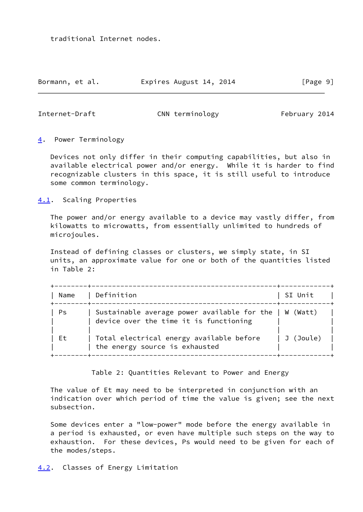traditional Internet nodes.

Bormann, et al. **Expires August 14, 2014** [Page 9]

<span id="page-10-1"></span>Internet-Draft CNN terminology February 2014

<span id="page-10-0"></span>[4](#page-10-0). Power Terminology

 Devices not only differ in their computing capabilities, but also in available electrical power and/or energy. While it is harder to find recognizable clusters in this space, it is still useful to introduce some common terminology.

<span id="page-10-2"></span>[4.1](#page-10-2). Scaling Properties

 The power and/or energy available to a device may vastly differ, from kilowatts to microwatts, from essentially unlimited to hundreds of microjoules.

 Instead of defining classes or clusters, we simply state, in SI units, an approximate value for one or both of the quantities listed in Table 2:

| Name | Definition                                                                                         | SI Unit   |
|------|----------------------------------------------------------------------------------------------------|-----------|
| Ps   | Sustainable average power available for the $ $ W (Watt)<br>device over the time it is functioning |           |
| Et.  | Total electrical energy available before<br>the energy source is exhausted                         | J (Joule) |

Table 2: Quantities Relevant to Power and Energy

 The value of Et may need to be interpreted in conjunction with an indication over which period of time the value is given; see the next subsection.

<span id="page-10-3"></span> Some devices enter a "low-power" mode before the energy available in a period is exhausted, or even have multiple such steps on the way to exhaustion. For these devices, Ps would need to be given for each of the modes/steps.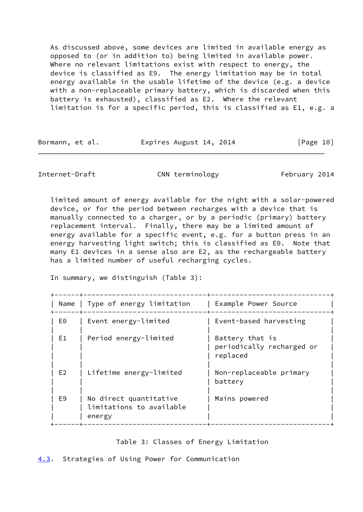As discussed above, some devices are limited in available energy as opposed to (or in addition to) being limited in available power. Where no relevant limitations exist with respect to energy, the device is classified as E9. The energy limitation may be in total energy available in the usable lifetime of the device (e.g. a device with a non-replaceable primary battery, which is discarded when this battery is exhausted), classified as E2. Where the relevant limitation is for a specific period, this is classified as E1, e.g. a

Bormann, et al. **Expires August 14, 2014** [Page 10]

<span id="page-11-1"></span>Internet-Draft CNN terminology February 2014

 limited amount of energy available for the night with a solar-powered device, or for the period between recharges with a device that is manually connected to a charger, or by a periodic (primary) battery replacement interval. Finally, there may be a limited amount of energy available for a specific event, e.g. for a button press in an energy harvesting light switch; this is classified as E0. Note that many E1 devices in a sense also are E2, as the rechargeable battery has a limited number of useful recharging cycles.

In summary, we distinguish (Table 3):

|                                                              | Example Power Source                                     |
|--------------------------------------------------------------|----------------------------------------------------------|
| Event energy-limited                                         | Event-based harvesting                                   |
| Period energy-limited                                        | Battery that is<br>periodically recharged or<br>replaced |
| Lifetime energy-limited                                      | Non-replaceable primary<br>battery                       |
| No direct quantitative<br>limitations to available<br>energy | Mains powered                                            |
|                                                              | Name   Type of energy limitation                         |

Table 3: Classes of Energy Limitation

<span id="page-11-0"></span>[4.3](#page-11-0). Strategies of Using Power for Communication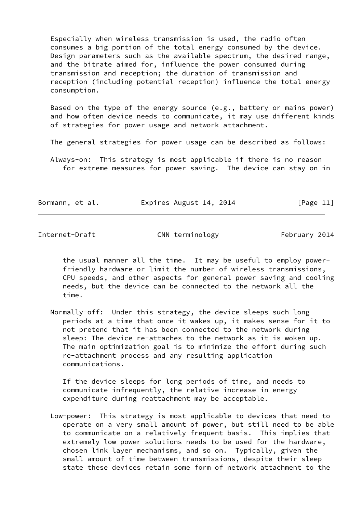Especially when wireless transmission is used, the radio often consumes a big portion of the total energy consumed by the device. Design parameters such as the available spectrum, the desired range, and the bitrate aimed for, influence the power consumed during transmission and reception; the duration of transmission and reception (including potential reception) influence the total energy consumption.

 Based on the type of the energy source (e.g., battery or mains power) and how often device needs to communicate, it may use different kinds of strategies for power usage and network attachment.

The general strategies for power usage can be described as follows:

 Always-on: This strategy is most applicable if there is no reason for extreme measures for power saving. The device can stay on in

Bormann, et al. Expires August 14, 2014 [Page 11]

Internet-Draft CNN terminology February 2014

 the usual manner all the time. It may be useful to employ power friendly hardware or limit the number of wireless transmissions, CPU speeds, and other aspects for general power saving and cooling needs, but the device can be connected to the network all the time.

 Normally-off: Under this strategy, the device sleeps such long periods at a time that once it wakes up, it makes sense for it to not pretend that it has been connected to the network during sleep: The device re-attaches to the network as it is woken up. The main optimization goal is to minimize the effort during such re-attachment process and any resulting application communications.

 If the device sleeps for long periods of time, and needs to communicate infrequently, the relative increase in energy expenditure during reattachment may be acceptable.

 Low-power: This strategy is most applicable to devices that need to operate on a very small amount of power, but still need to be able to communicate on a relatively frequent basis. This implies that extremely low power solutions needs to be used for the hardware, chosen link layer mechanisms, and so on. Typically, given the small amount of time between transmissions, despite their sleep state these devices retain some form of network attachment to the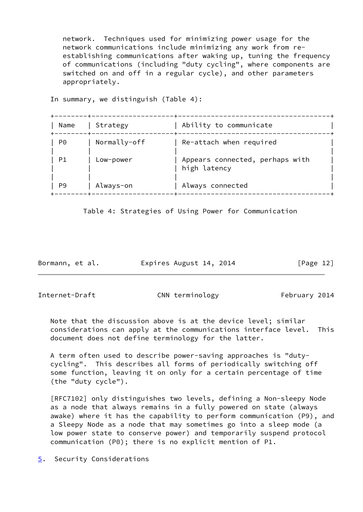network. Techniques used for minimizing power usage for the network communications include minimizing any work from re establishing communications after waking up, tuning the frequency of communications (including "duty cycling", where components are switched on and off in a regular cycle), and other parameters appropriately.

In summary, we distinguish (Table 4):

| Name | Strategy     | Ability to communicate                          |
|------|--------------|-------------------------------------------------|
| P0   | Normally-off | Re-attach when required                         |
| P1   | Low-power    | Appears connected, perhaps with<br>high latency |
| P9   | Always-on    | Always connected                                |

Table 4: Strategies of Using Power for Communication

Bormann, et al. Expires August 14, 2014 [Page 12]

<span id="page-13-1"></span>

Internet-Draft CNN terminology February 2014

 Note that the discussion above is at the device level; similar considerations can apply at the communications interface level. This document does not define terminology for the latter.

 A term often used to describe power-saving approaches is "duty cycling". This describes all forms of periodically switching off some function, leaving it on only for a certain percentage of time (the "duty cycle").

 [RFC7102] only distinguishes two levels, defining a Non-sleepy Node as a node that always remains in a fully powered on state (always awake) where it has the capability to perform communication (P9), and a Sleepy Node as a node that may sometimes go into a sleep mode (a low power state to conserve power) and temporarily suspend protocol communication (P0); there is no explicit mention of P1.

<span id="page-13-0"></span>[5](#page-13-0). Security Considerations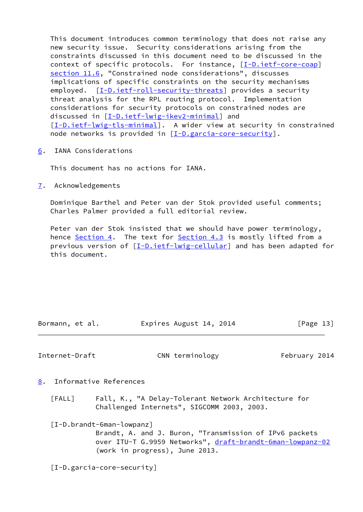This document introduces common terminology that does not raise any new security issue. Security considerations arising from the constraints discussed in this document need to be discussed in the context of specific protocols. For instance, [[I-D.ietf-core-coap\]](#page-15-2) section 11.6, "Constrained node considerations", discusses implications of specific constraints on the security mechanisms employed. [[I-D.ietf-roll-security-threats](#page-15-3)] provides a security threat analysis for the RPL routing protocol. Implementation considerations for security protocols on constrained nodes are discussed in [\[I-D.ietf-lwig-ikev2-minimal](#page-15-4)] and [\[I-D.ietf-lwig-tls-minimal](#page-15-5)]. A wider view at security in constrained node networks is provided in [\[I-D.garcia-core-security](#page-14-6)].

<span id="page-14-0"></span>[6](#page-14-0). IANA Considerations

This document has no actions for IANA.

<span id="page-14-1"></span>[7](#page-14-1). Acknowledgements

 Dominique Barthel and Peter van der Stok provided useful comments; Charles Palmer provided a full editorial review.

 Peter van der Stok insisted that we should have power terminology, hence [Section 4.](#page-10-0) The text for [Section 4.3](#page-11-0) is mostly lifted from a previous version of [\[I-D.ietf-lwig-cellular](#page-15-6)] and has been adapted for this document.

| Bormann, et al. | Expires August 14, 2014 | [Page 13] |
|-----------------|-------------------------|-----------|

<span id="page-14-3"></span>Internet-Draft CNN terminology February 2014

- <span id="page-14-4"></span><span id="page-14-2"></span>[8](#page-14-2). Informative References
	- [FALL] Fall, K., "A Delay-Tolerant Network Architecture for Challenged Internets", SIGCOMM 2003, 2003.

<span id="page-14-5"></span>[I-D.brandt-6man-lowpanz]

 Brandt, A. and J. Buron, "Transmission of IPv6 packets over ITU-T G.9959 Networks", [draft-brandt-6man-lowpanz-02](https://datatracker.ietf.org/doc/pdf/draft-brandt-6man-lowpanz-02) (work in progress), June 2013.

<span id="page-14-6"></span>[I-D.garcia-core-security]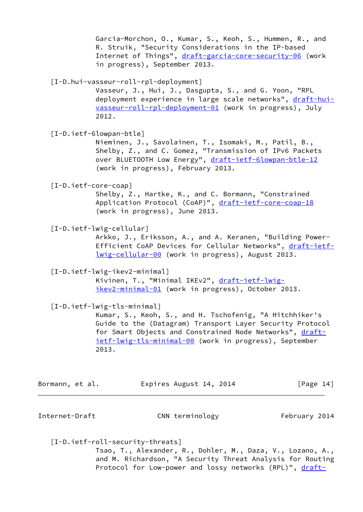Garcia-Morchon, O., Kumar, S., Keoh, S., Hummen, R., and R. Struik, "Security Considerations in the IP-based Internet of Things", [draft-garcia-core-security-06](https://datatracker.ietf.org/doc/pdf/draft-garcia-core-security-06) (work in progress), September 2013.

<span id="page-15-0"></span>[I-D.hui-vasseur-roll-rpl-deployment]

 Vasseur, J., Hui, J., Dasgupta, S., and G. Yoon, "RPL deployment experience in large scale networks", [draft-hui](https://datatracker.ietf.org/doc/pdf/draft-hui-vasseur-roll-rpl-deployment-01) [vasseur-roll-rpl-deployment-01](https://datatracker.ietf.org/doc/pdf/draft-hui-vasseur-roll-rpl-deployment-01) (work in progress), July 2012.

<span id="page-15-1"></span>[I-D.ietf-6lowpan-btle]

 Nieminen, J., Savolainen, T., Isomaki, M., Patil, B., Shelby, Z., and C. Gomez, "Transmission of IPv6 Packets over BLUETOOTH Low Energy", [draft-ietf-6lowpan-btle-12](https://datatracker.ietf.org/doc/pdf/draft-ietf-6lowpan-btle-12) (work in progress), February 2013.

<span id="page-15-2"></span>[I-D.ietf-core-coap]

 Shelby, Z., Hartke, K., and C. Bormann, "Constrained Application Protocol (CoAP)", [draft-ietf-core-coap-18](https://datatracker.ietf.org/doc/pdf/draft-ietf-core-coap-18) (work in progress), June 2013.

<span id="page-15-6"></span>[I-D.ietf-lwig-cellular]

 Arkko, J., Eriksson, A., and A. Keranen, "Building Power Efficient CoAP Devices for Cellular Networks", [draft-ietf](https://datatracker.ietf.org/doc/pdf/draft-ietf-lwig-cellular-00) [lwig-cellular-00](https://datatracker.ietf.org/doc/pdf/draft-ietf-lwig-cellular-00) (work in progress), August 2013.

<span id="page-15-4"></span>[I-D.ietf-lwig-ikev2-minimal]

Kivinen, T., "Minimal IKEv2", [draft-ietf-lwig](https://datatracker.ietf.org/doc/pdf/draft-ietf-lwig-ikev2-minimal-01) [ikev2-minimal-01](https://datatracker.ietf.org/doc/pdf/draft-ietf-lwig-ikev2-minimal-01) (work in progress), October 2013.

<span id="page-15-5"></span>[I-D.ietf-lwig-tls-minimal]

 Kumar, S., Keoh, S., and H. Tschofenig, "A Hitchhiker's Guide to the (Datagram) Transport Layer Security Protocol for Smart Objects and Constrained Node Networks", [draft](https://datatracker.ietf.org/doc/pdf/draft-ietf-lwig-tls-minimal-00) [ietf-lwig-tls-minimal-00](https://datatracker.ietf.org/doc/pdf/draft-ietf-lwig-tls-minimal-00) (work in progress), September 2013.

| Bormann, et al. | Expires August 14, 2014 | [Page 14] |
|-----------------|-------------------------|-----------|
|-----------------|-------------------------|-----------|

Internet-Draft CNN terminology February 2014

<span id="page-15-3"></span>[I-D.ietf-roll-security-threats]

 Tsao, T., Alexander, R., Dohler, M., Daza, V., Lozano, A., and M. Richardson, "A Security Threat Analysis for Routing Protocol for Low-power and lossy networks (RPL)", [draft-](https://datatracker.ietf.org/doc/pdf/draft-ietf-roll-security-threats-06)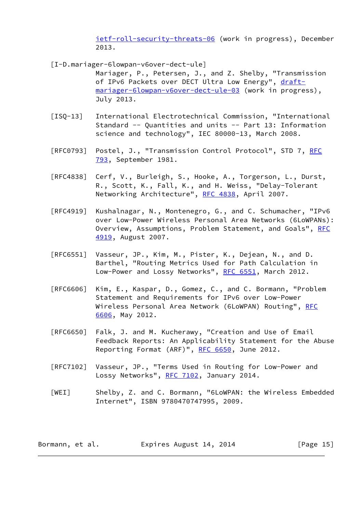[ietf-roll-security-threats-06](https://datatracker.ietf.org/doc/pdf/draft-ietf-roll-security-threats-06) (work in progress), December 2013.

- <span id="page-16-2"></span> [I-D.mariager-6lowpan-v6over-dect-ule] Mariager, P., Petersen, J., and Z. Shelby, "Transmission of IPv6 Packets over DECT Ultra Low Energy", [draft](https://datatracker.ietf.org/doc/pdf/draft-mariager-6lowpan-v6over-dect-ule-03) [mariager-6lowpan-v6over-dect-ule-03](https://datatracker.ietf.org/doc/pdf/draft-mariager-6lowpan-v6over-dect-ule-03) (work in progress), July 2013.
- <span id="page-16-0"></span>[ISQ-13] International Electrotechnical Commission, "International Standard -- Quantities and units -- Part 13: Information science and technology", IEC 80000-13, March 2008.
- [[RFC](https://datatracker.ietf.org/doc/pdf/rfc793)0793] Postel, J., "Transmission Control Protocol", STD 7, RFC [793](https://datatracker.ietf.org/doc/pdf/rfc793), September 1981.
- [RFC4838] Cerf, V., Burleigh, S., Hooke, A., Torgerson, L., Durst, R., Scott, K., Fall, K., and H. Weiss, "Delay-Tolerant Networking Architecture", [RFC 4838](https://datatracker.ietf.org/doc/pdf/rfc4838), April 2007.
- [RFC4919] Kushalnagar, N., Montenegro, G., and C. Schumacher, "IPv6 over Low-Power Wireless Personal Area Networks (6LoWPANs): Overview, Assumptions, Problem Statement, and Goals", [RFC](https://datatracker.ietf.org/doc/pdf/rfc4919) [4919,](https://datatracker.ietf.org/doc/pdf/rfc4919) August 2007.
- [RFC6551] Vasseur, JP., Kim, M., Pister, K., Dejean, N., and D. Barthel, "Routing Metrics Used for Path Calculation in Low-Power and Lossy Networks", [RFC 6551](https://datatracker.ietf.org/doc/pdf/rfc6551), March 2012.
- [RFC6606] Kim, E., Kaspar, D., Gomez, C., and C. Bormann, "Problem Statement and Requirements for IPv6 over Low-Power Wireless Personal Area Network (6LoWPAN) Routing", [RFC](https://datatracker.ietf.org/doc/pdf/rfc6606) [6606,](https://datatracker.ietf.org/doc/pdf/rfc6606) May 2012.
- [RFC6650] Falk, J. and M. Kucherawy, "Creation and Use of Email Feedback Reports: An Applicability Statement for the Abuse Reporting Format (ARF)", [RFC 6650,](https://datatracker.ietf.org/doc/pdf/rfc6650) June 2012.
- [RFC7102] Vasseur, JP., "Terms Used in Routing for Low-Power and Lossy Networks", [RFC 7102,](https://datatracker.ietf.org/doc/pdf/rfc7102) January 2014.
- <span id="page-16-1"></span> [WEI] Shelby, Z. and C. Bormann, "6LoWPAN: the Wireless Embedded Internet", ISBN 9780470747995, 2009.

| Bormann, et al. | Expires August 14, 2014 | [Page 15] |
|-----------------|-------------------------|-----------|
|-----------------|-------------------------|-----------|